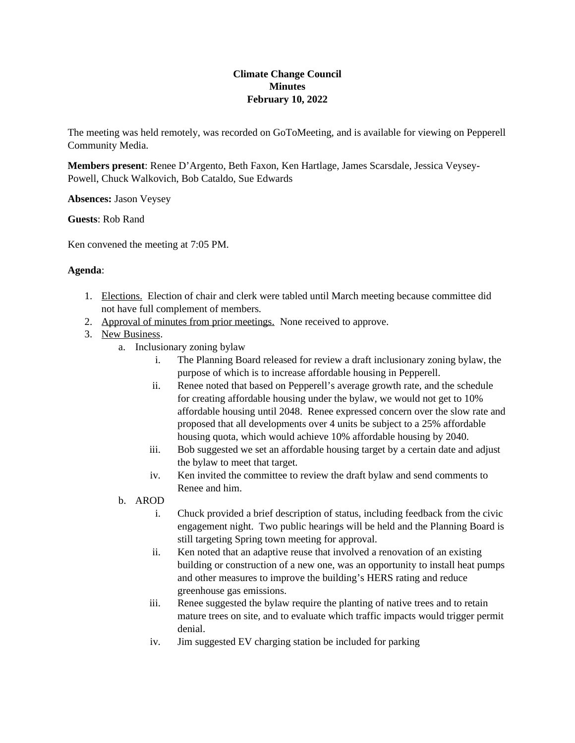## **Climate Change Council Minutes February 10, 2022**

The meeting was held remotely, was recorded on GoToMeeting, and is available for viewing on Pepperell Community Media.

**Members present**: Renee D'Argento, Beth Faxon, Ken Hartlage, James Scarsdale, Jessica Veysey-Powell, Chuck Walkovich, Bob Cataldo, Sue Edwards

**Absences:** Jason Veysey

**Guests**: Rob Rand

Ken convened the meeting at 7:05 PM.

## **Agenda**:

- 1. Elections. Election of chair and clerk were tabled until March meeting because committee did not have full complement of members.
- 2. Approval of minutes from prior meetings. None received to approve.
- 3. New Business.
	- a. Inclusionary zoning bylaw
		- i. The Planning Board released for review a draft inclusionary zoning bylaw, the purpose of which is to increase affordable housing in Pepperell.
		- ii. Renee noted that based on Pepperell's average growth rate, and the schedule for creating affordable housing under the bylaw, we would not get to 10% affordable housing until 2048. Renee expressed concern over the slow rate and proposed that all developments over 4 units be subject to a 25% affordable housing quota, which would achieve 10% affordable housing by 2040.
		- iii. Bob suggested we set an affordable housing target by a certain date and adjust the bylaw to meet that target.
		- iv. Ken invited the committee to review the draft bylaw and send comments to Renee and him.
	- b. AROD
		- i. Chuck provided a brief description of status, including feedback from the civic engagement night. Two public hearings will be held and the Planning Board is still targeting Spring town meeting for approval.
		- ii. Ken noted that an adaptive reuse that involved a renovation of an existing building or construction of a new one, was an opportunity to install heat pumps and other measures to improve the building's HERS rating and reduce greenhouse gas emissions.
		- iii. Renee suggested the bylaw require the planting of native trees and to retain mature trees on site, and to evaluate which traffic impacts would trigger permit denial.
		- iv. Jim suggested EV charging station be included for parking